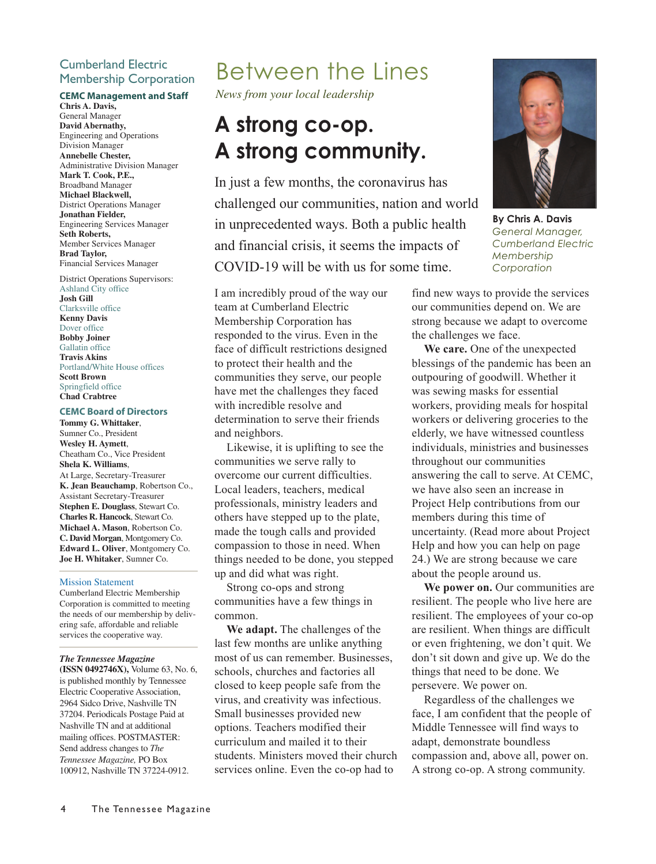## Cumberland Electric Membership Corporation

#### **CEMC Management and Staff**

**Chris A. Davis,** General Manager **David Abernathy,** Engineering and Operations Division Manager **Annebelle Chester,** Administrative Division Manager **Mark T. Cook, P.E.,** Broadband Manager **Michael Blackwell,** District Operations Manager **Jonathan Fielder,** Engineering Services Manager **Seth Roberts,** Member Services Manager **Brad Taylor,** Financial Services Manager

District Operations Supervisors: Ashland City office **Josh Gill** Clarksville office **Kenny Davis** Dover office **Bobby Joiner** Gallatin office **Travis Akins** Portland/White House offices **Scott Brown** Springfield office **Chad Crabtree**

#### **CEMC Board of Directors**

**Tommy G. Whittaker**, Sumner Co., President **Wesley H. Aymett**, Cheatham Co., Vice President **Shela K. Williams**, At Large, Secretary-Treasurer **K. Jean Beauchamp**, Robertson Co., Assistant Secretary-Treasurer **Stephen E. Douglass**, Stewart Co. **Charles R. Hancock**, Stewart Co. **Michael A. Mason**, Robertson Co. **C. David Morgan**, Montgomery Co. **Edward L. Oliver**, Montgomery Co. **Joe H. Whitaker**, Sumner Co.

#### Mission Statement

Cumberland Electric Membership Corporation is committed to meeting the needs of our membership by delivering safe, affordable and reliable services the cooperative way.

#### *The Tennessee Magazine*

**(ISSN 0492746X),** Volume 63, No. 6, is published monthly by Tennessee Electric Cooperative Association, 2964 Sidco Drive, Nashville TN 37204. Periodicals Postage Paid at Nashville TN and at additional mailing offices. POSTMASTER: Send address changes to *The Tennessee Magazine,* PO Box 100912, Nashville TN 37224-0912.

## Between the Lines

*News from your local leadership*

# **A strong co-op.**

**A strong community.** In just a few months, the coronavirus has challenged our communities, nation and world in unprecedented ways. Both a public health and financial crisis, it seems the impacts of COVID-19 will be with us for some time.

I am incredibly proud of the way our team at Cumberland Electric Membership Corporation has responded to the virus. Even in the face of difficult restrictions designed to protect their health and the communities they serve, our people have met the challenges they faced with incredible resolve and determination to serve their friends and neighbors.

Likewise, it is uplifting to see the communities we serve rally to overcome our current difficulties. Local leaders, teachers, medical professionals, ministry leaders and others have stepped up to the plate, made the tough calls and provided compassion to those in need. When things needed to be done, you stepped up and did what was right.

Strong co-ops and strong communities have a few things in common.

**We adapt.** The challenges of the last few months are unlike anything most of us can remember. Businesses, schools, churches and factories all closed to keep people safe from the virus, and creativity was infectious. Small businesses provided new options. Teachers modified their curriculum and mailed it to their students. Ministers moved their church services online. Even the co-op had to



**By Chris A. Davis** *General Manager, Cumberland Electric Membership Corporation*

find new ways to provide the services our communities depend on. We are strong because we adapt to overcome the challenges we face.

**We care.** One of the unexpected blessings of the pandemic has been an outpouring of goodwill. Whether it was sewing masks for essential workers, providing meals for hospital workers or delivering groceries to the elderly, we have witnessed countless individuals, ministries and businesses throughout our communities answering the call to serve. At CEMC, we have also seen an increase in Project Help contributions from our members during this time of uncertainty. (Read more about Project Help and how you can help on page 24.) We are strong because we care about the people around us.

**We power on.** Our communities are resilient. The people who live here are resilient. The employees of your co-op are resilient. When things are difficult or even frightening, we don't quit. We don't sit down and give up. We do the things that need to be done. We persevere. We power on.

Regardless of the challenges we face, I am confident that the people of Middle Tennessee will find ways to adapt, demonstrate boundless compassion and, above all, power on. A strong co-op. A strong community.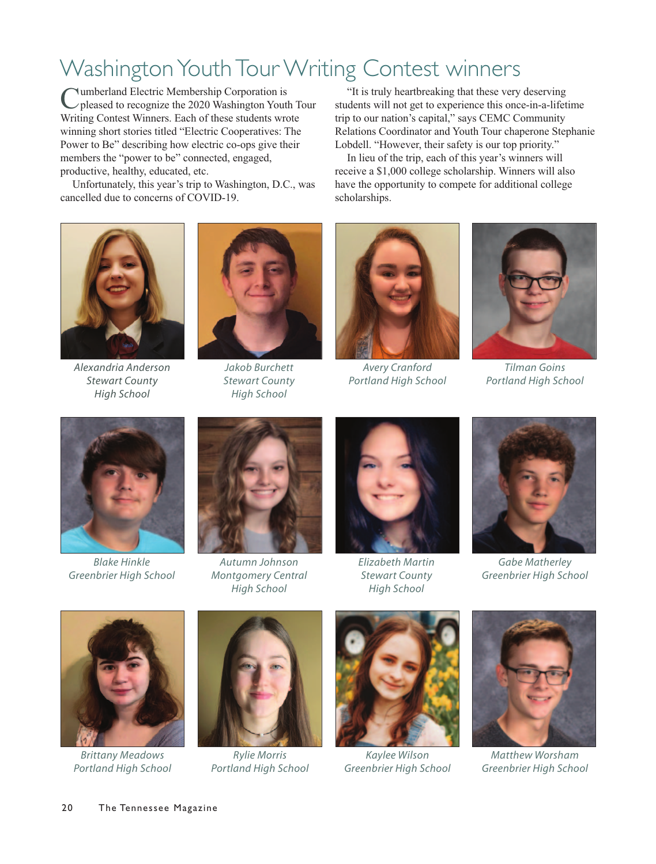## Washington Youth Tour Writing Contest winners

Cumberland Electric Membership Corporation is<br>
pleased to recognize the 2020 Washington Youth Tour Writing Contest Winners. Each of these students wrote winning short stories titled "Electric Cooperatives: The Power to Be" describing how electric co-ops give their members the "power to be" connected, engaged, productive, healthy, educated, etc.

Unfortunately, this year's trip to Washington, D.C., was cancelled due to concerns of COVID-19.

"It is truly heartbreaking that these very deserving students will not get to experience this once-in-a-lifetime trip to our nation's capital," says CEMC Community Relations Coordinator and Youth Tour chaperone Stephanie Lobdell. "However, their safety is our top priority."

In lieu of the trip, each of this year's winners will receive a \$1,000 college scholarship. Winners will also have the opportunity to compete for additional college scholarships.



*Alexandria Anderson Stewart County High School*



*Jakob Burchett Stewart County High School*



*Avery Cranford Portland High School*



*Tilman Goins Portland High School*



*Blake Hinkle Greenbrier High School*



*Autumn Johnson Montgomery Central High School*



*Elizabeth Martin Stewart County High School*



*Gabe Matherley Greenbrier High School*



*Brittany Meadows Portland High School*



*Rylie Morris Portland High School*



*Kaylee Wilson Greenbrier High School*



*Matthew Worsham Greenbrier High School*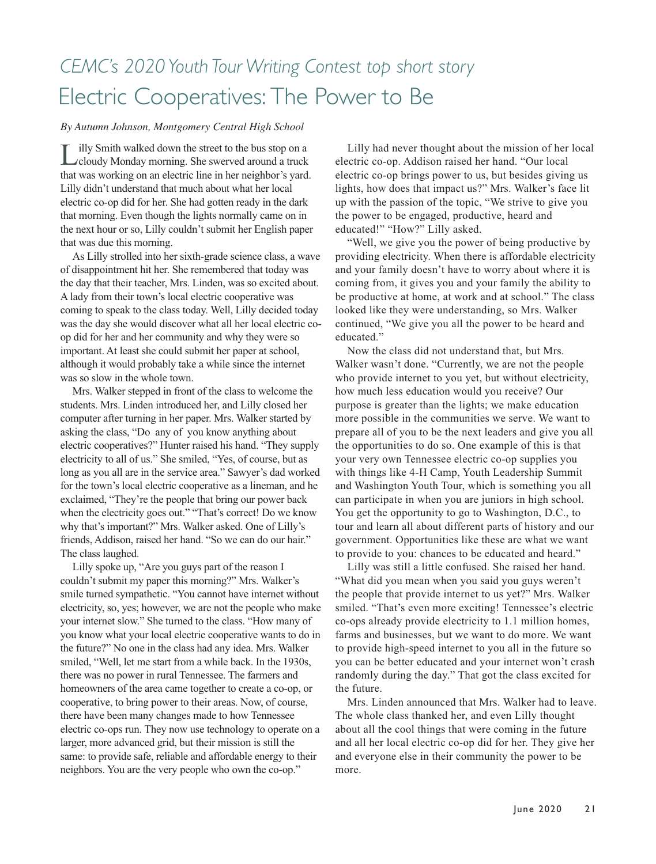## *CEMC's 2020 Youth Tour Writing Contest top short story* Electric Cooperatives: The Power to Be

#### *By Autumn Johnson, Montgomery Central High School*

Lilly Smith walked down the street to the bus stop on a cloudy Monday morning. She swerved around a truck that was working on an electric line in her neighbor's yard. Lilly didn't understand that much about what her local electric co-op did for her. She had gotten ready in the dark that morning. Even though the lights normally came on in the next hour or so, Lilly couldn't submit her English paper that was due this morning.

As Lilly strolled into her sixth-grade science class, a wave of disappointment hit her. She remembered that today was the day that their teacher, Mrs. Linden, was so excited about. A lady from their town's local electric cooperative was coming to speak to the class today. Well, Lilly decided today was the day she would discover what all her local electric coop did for her and her community and why they were so important. At least she could submit her paper at school, although it would probably take a while since the internet was so slow in the whole town.

Mrs. Walker stepped in front of the class to welcome the students. Mrs. Linden introduced her, and Lilly closed her computer after turning in her paper. Mrs. Walker started by asking the class, "Do any of you know anything about electric cooperatives?" Hunter raised his hand. "They supply electricity to all of us." She smiled, "Yes, of course, but as long as you all are in the service area." Sawyer's dad worked for the town's local electric cooperative as a lineman, and he exclaimed, "They're the people that bring our power back when the electricity goes out." "That's correct! Do we know why that's important?" Mrs. Walker asked. One of Lilly's friends, Addison, raised her hand. "So we can do our hair." The class laughed.

Lilly spoke up, "Are you guys part of the reason I couldn't submit my paper this morning?" Mrs. Walker's smile turned sympathetic. "You cannot have internet without electricity, so, yes; however, we are not the people who make your internet slow." She turned to the class. "How many of you know what your local electric cooperative wants to do in the future?" No one in the class had any idea. Mrs. Walker smiled, "Well, let me start from a while back. In the 1930s, there was no power in rural Tennessee. The farmers and homeowners of the area came together to create a co-op, or cooperative, to bring power to their areas. Now, of course, there have been many changes made to how Tennessee electric co-ops run. They now use technology to operate on a larger, more advanced grid, but their mission is still the same: to provide safe, reliable and affordable energy to their neighbors. You are the very people who own the co-op."

Lilly had never thought about the mission of her local electric co-op. Addison raised her hand. "Our local electric co-op brings power to us, but besides giving us lights, how does that impact us?" Mrs. Walker's face lit up with the passion of the topic, "We strive to give you the power to be engaged, productive, heard and educated!" "How?" Lilly asked.

"Well, we give you the power of being productive by providing electricity. When there is affordable electricity and your family doesn't have to worry about where it is coming from, it gives you and your family the ability to be productive at home, at work and at school." The class looked like they were understanding, so Mrs. Walker continued, "We give you all the power to be heard and educated."

Now the class did not understand that, but Mrs. Walker wasn't done. "Currently, we are not the people who provide internet to you yet, but without electricity, how much less education would you receive? Our purpose is greater than the lights; we make education more possible in the communities we serve. We want to prepare all of you to be the next leaders and give you all the opportunities to do so. One example of this is that your very own Tennessee electric co-op supplies you with things like 4-H Camp, Youth Leadership Summit and Washington Youth Tour, which is something you all can participate in when you are juniors in high school. You get the opportunity to go to Washington, D.C., to tour and learn all about different parts of history and our government. Opportunities like these are what we want to provide to you: chances to be educated and heard."

Lilly was still a little confused. She raised her hand. "What did you mean when you said you guys weren't the people that provide internet to us yet?" Mrs. Walker smiled. "That's even more exciting! Tennessee's electric co-ops already provide electricity to 1.1 million homes, farms and businesses, but we want to do more. We want to provide high-speed internet to you all in the future so you can be better educated and your internet won't crash randomly during the day." That got the class excited for the future.

Mrs. Linden announced that Mrs. Walker had to leave. The whole class thanked her, and even Lilly thought about all the cool things that were coming in the future and all her local electric co-op did for her. They give her and everyone else in their community the power to be more.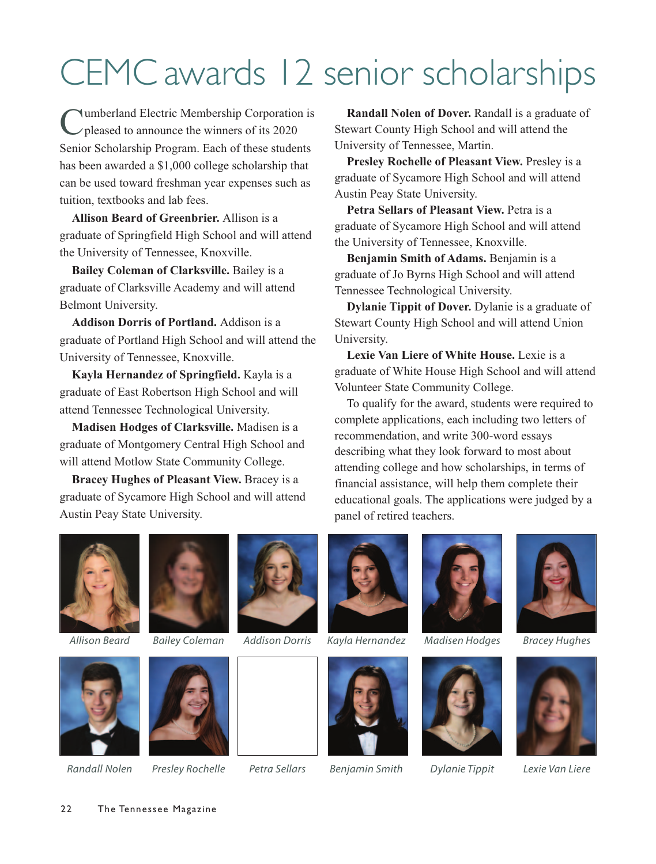## CEMC awards 12 senior scholarships

Cumberland Electric Membership Corporation is pleased to announce the winners of its 2020 Senior Scholarship Program. Each of these students has been awarded a \$1,000 college scholarship that can be used toward freshman year expenses such as tuition, textbooks and lab fees.

**Allison Beard of Greenbrier.** Allison is a graduate of Springfield High School and will attend the University of Tennessee, Knoxville.

**Bailey Coleman of Clarksville.** Bailey is a graduate of Clarksville Academy and will attend Belmont University.

**Addison Dorris of Portland.** Addison is a graduate of Portland High School and will attend the University of Tennessee, Knoxville.

**Kayla Hernandez of Springfield.** Kayla is a graduate of East Robertson High School and will attend Tennessee Technological University.

**Madisen Hodges of Clarksville.** Madisen is a graduate of Montgomery Central High School and will attend Motlow State Community College.

**Bracey Hughes of Pleasant View.** Bracey is a graduate of Sycamore High School and will attend Austin Peay State University.

**Randall Nolen of Dover.** Randall is a graduate of Stewart County High School and will attend the University of Tennessee, Martin.

**Presley Rochelle of Pleasant View.** Presley is a graduate of Sycamore High School and will attend Austin Peay State University.

**Petra Sellars of Pleasant View.** Petra is a graduate of Sycamore High School and will attend the University of Tennessee, Knoxville.

**Benjamin Smith of Adams.** Benjamin is a graduate of Jo Byrns High School and will attend Tennessee Technological University.

**Dylanie Tippit of Dover.** Dylanie is a graduate of Stewart County High School and will attend Union University.

**Lexie Van Liere of White House.** Lexie is a graduate of White House High School and will attend Volunteer State Community College.

To qualify for the award, students were required to complete applications, each including two letters of recommendation, and write 300-word essays describing what they look forward to most about attending college and how scholarships, in terms of financial assistance, will help them complete their educational goals. The applications were judged by a panel of retired teachers.





22 The Tennessee Magazine











*Allison Beard Bailey Coleman Addison Dorris Kayla Hernandez Madisen Hodges Bracey Hughes*









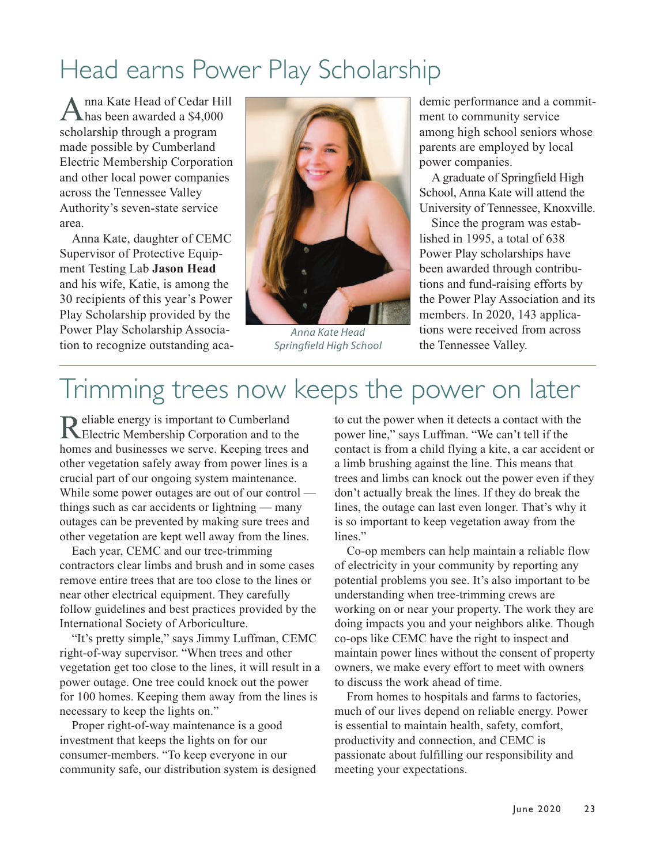## Head earns Power Play Scholarship

Anna Kate Head of Cedar Hill has been awarded a \$4,000 scholarship through a program made possible by Cumberland Electric Membership Corporation and other local power companies across the Tennessee Valley Authority's seven-state service area.

Anna Kate, daughter of CEMC Supervisor of Protective Equipment Testing Lab **Jason Head** and his wife, Katie, is among the 30 recipients of this year's Power Play Scholarship provided by the Power Play Scholarship Association to recognize outstanding aca-



*Anna Kate Head Springfield High School*

demic performance and a commitment to community service among high school seniors whose parents are employed by local power companies.

A graduate of Springfield High School, Anna Kate will attend the University of Tennessee, Knoxville.

Since the program was established in 1995, a total of 638 Power Play scholarships have been awarded through contributions and fund-raising efforts by the Power Play Association and its members. In 2020, 143 applications were received from across the Tennessee Valley.

## Trimming trees now keeps the power on later

Reliable energy is important to Cumberland<br>Electric Membership Corporation and to the homes and businesses we serve. Keeping trees and other vegetation safely away from power lines is a crucial part of our ongoing system maintenance. While some power outages are out of our control things such as car accidents or lightning — many outages can be prevented by making sure trees and other vegetation are kept well away from the lines.

Each year, CEMC and our tree-trimming contractors clear limbs and brush and in some cases remove entire trees that are too close to the lines or near other electrical equipment. They carefully follow guidelines and best practices provided by the International Society of Arboriculture.

"It's pretty simple," says Jimmy Luffman, CEMC right-of-way supervisor. "When trees and other vegetation get too close to the lines, it will result in a power outage. One tree could knock out the power for 100 homes. Keeping them away from the lines is necessary to keep the lights on."

Proper right-of-way maintenance is a good investment that keeps the lights on for our consumer-members. "To keep everyone in our community safe, our distribution system is designed to cut the power when it detects a contact with the power line," says Luffman. "We can't tell if the contact is from a child flying a kite, a car accident or a limb brushing against the line. This means that trees and limbs can knock out the power even if they don't actually break the lines. If they do break the lines, the outage can last even longer. That's why it is so important to keep vegetation away from the lines."

Co-op members can help maintain a reliable flow of electricity in your community by reporting any potential problems you see. It's also important to be understanding when tree-trimming crews are working on or near your property. The work they are doing impacts you and your neighbors alike. Though co-ops like CEMC have the right to inspect and maintain power lines without the consent of property owners, we make every effort to meet with owners to discuss the work ahead of time.

From homes to hospitals and farms to factories, much of our lives depend on reliable energy. Power is essential to maintain health, safety, comfort, productivity and connection, and CEMC is passionate about fulfilling our responsibility and meeting your expectations.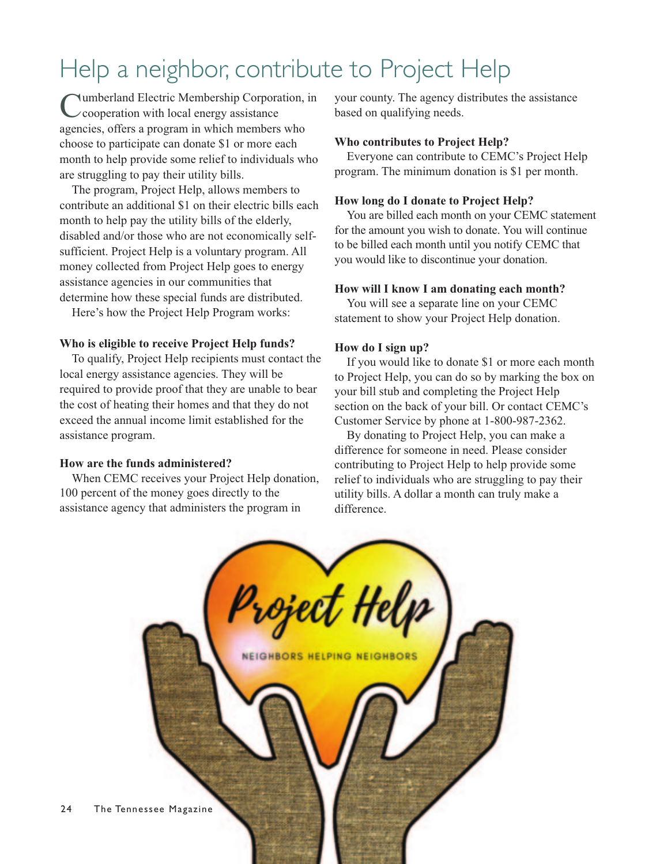## Help a neighbor, contribute to Project Help

Cumberland Electric Membership Corporation, in cooperation with local energy assistance agencies, offers a program in which members who choose to participate can donate \$1 or more each month to help provide some relief to individuals who are struggling to pay their utility bills.

The program, Project Help, allows members to contribute an additional \$1 on their electric bills each month to help pay the utility bills of the elderly, disabled and/or those who are not economically selfsufficient. Project Help is a voluntary program. All money collected from Project Help goes to energy assistance agencies in our communities that determine how these special funds are distributed.

Here's how the Project Help Program works:

## **Who is eligible to receive Project Help funds?**

To qualify, Project Help recipients must contact the local energy assistance agencies. They will be required to provide proof that they are unable to bear the cost of heating their homes and that they do not exceed the annual income limit established for the assistance program.

#### **How are the funds administered?**

When CEMC receives your Project Help donation, 100 percent of the money goes directly to the assistance agency that administers the program in

your county. The agency distributes the assistance based on qualifying needs.

### **Who contributes to Project Help?**

Everyone can contribute to CEMC's Project Help program. The minimum donation is \$1 per month.

## **How long do I donate to Project Help?**

You are billed each month on your CEMC statement for the amount you wish to donate. You will continue to be billed each month until you notify CEMC that you would like to discontinue your donation.

## **How will I know I am donating each month?**

You will see a separate line on your CEMC statement to show your Project Help donation.

## **How do I sign up?**

If you would like to donate \$1 or more each month to Project Help, you can do so by marking the box on your bill stub and completing the Project Help section on the back of your bill. Or contact CEMC's Customer Service by phone at 1-800-987-2362.

By donating to Project Help, you can make a difference for someone in need. Please consider contributing to Project Help to help provide some relief to individuals who are struggling to pay their utility bills. A dollar a month can truly make a difference.